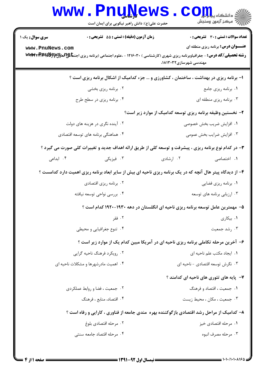|                                                                                                            | <b>WWW.PNUNEWS</b><br>حضرت علی(ع): دانش راهبر نیکویی برای ایمان است                                   |                          | د دانشگاه پ <b>یاج</b><br>رِ ۖ مرڪز آزمون وسنڊش |  |  |
|------------------------------------------------------------------------------------------------------------|-------------------------------------------------------------------------------------------------------|--------------------------|-------------------------------------------------|--|--|
| <b>سری سوال :</b> یک ۱                                                                                     | <b>زمان آزمون (دقیقه) : تستی : 55 تشریحی : 0</b>                                                      |                          | <b>تعداد سوالات : تستي : 30 ٪ تشريحي : 0</b>    |  |  |
| www.PnuNews.com                                                                                            |                                                                                                       | مهندسی شهرسازی۲۰۳۲۲،     | <b>عنـــوان درس:</b> برنامه ریزی منطقه ای       |  |  |
| ۱- برنامه ریزی در بهداشت ، ساختمان ، کشاورزی و … جزء کدامیک از اشکال برنامه ریزی است ؟                     |                                                                                                       |                          |                                                 |  |  |
|                                                                                                            | ۰۲ برنامه ریزی بخشی                                                                                   |                          | ۰۱ برنامه ریزی جامع                             |  |  |
|                                                                                                            | ۰۴ برنامه ریزی در سطح طرح                                                                             |                          | ۰۳ برنامه ریزی منطقه ای                         |  |  |
| ۲- نخستین وظیفه برنامه ریزی توسعه کدامیک از موارد زیر است؟                                                 |                                                                                                       |                          |                                                 |  |  |
|                                                                                                            | ۰۲ آینده نگری در هزینه های دولت                                                                       | ۰۱ افزایش ضریب بخش خصوصی |                                                 |  |  |
|                                                                                                            | ۰۴ هماهنگی برنامه های توسعه اقتصادی                                                                   |                          | ۰۳ افزایش ضرایب بخش عمومی                       |  |  |
|                                                                                                            | ۳- در کدام نوع برنامه ریزی ، پیشرفت و توسعه کلی از طریق ارائه اهداف جدید و تغییرات کلی صورت می گیرد ؟ |                          |                                                 |  |  |
| ۰۴ ابداعی                                                                                                  | ن فيزيكى $\cdot$                                                                                      | ۰۲ ارشادی                | ۰۱ اختصاصی                                      |  |  |
| ۴- از دیدگاه پیتر هال آنچه که در یک برنامه ریزی ناحیه ای بیش از سایر ابعاد برنامه ریزی اهمیت دارد کدامست ؟ |                                                                                                       |                          |                                                 |  |  |
|                                                                                                            | ۰۲ برنامه ریزی اقتصادی                                                                                |                          | ٠١ برنامه ريزي فضايي                            |  |  |
|                                                                                                            | ۰۴ بررسی نواحی توسعه نیافته                                                                           |                          | ۰۳ ارزیابی برنامه های توسعه                     |  |  |
| ۵– مهمترین عامل توسعه برنامه ریزی ناحیه ای انگلستان در دهه ۱۹۳۰–۱۹۲۰ کدام است ؟                            |                                                                                                       |                          |                                                 |  |  |
|                                                                                                            | ۰۲ فقر                                                                                                | ۰۱ بیکاری                |                                                 |  |  |
|                                                                                                            | ۰۴ تنوع جغرافیایی و محیطی                                                                             | ۰۳ رشد جمعیت             |                                                 |  |  |
| ۶- آخرین مرحله تکاملی برنامه ریزی ناحیه ای در آمریکا مبین کدام یک از موارد زیر است ؟                       |                                                                                                       |                          |                                                 |  |  |
|                                                                                                            | ۰۲ رویکرد فرهنگ ناحیه گرایی                                                                           |                          | ۰۱. ایجاد مکتب علم ناحیه ای                     |  |  |
|                                                                                                            | ۰۴ اهمیت مادرشهرها و مشکلات ناحیه ای                                                                  |                          | ۰۳ نگرش توسعه اقتصادی - ناحیه ای                |  |  |
|                                                                                                            |                                                                                                       |                          | ۷–  پایه های تئوری های ناحیه ای کدامند ؟        |  |  |
|                                                                                                            | ۰۲ جمعیت ، فضا و روابط عملکردی                                                                        |                          | ۰۱ جمعیت ، اقتصاد و فرهنگ                       |  |  |
|                                                                                                            | ۰۴ اقتصاد، منابع ، فرهنگ                                                                              |                          | ۰۳ جمعیت ، مکان ، محیط زیست                     |  |  |
| ۸– کدامیک از مراحل رشد اقتصادی بازگوکننده بهره مندی جامعه از فناوری ، کارایی و رفاه است ؟                  |                                                                                                       |                          |                                                 |  |  |
|                                                                                                            | ۰۲ مرحله اقتصادي بلوغ                                                                                 |                          | ۰۱ مرحله اقتصادی خیز                            |  |  |
|                                                                                                            | ۰۴ مرحله اقتصاد جامعه سنتى                                                                            |                          | ۰۳ مرحله مصرف انبوه                             |  |  |
|                                                                                                            |                                                                                                       |                          |                                                 |  |  |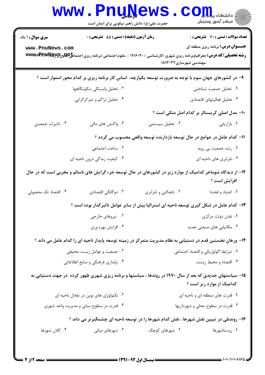|                                                                                                                                       |  | <b>www.Pnu̯Ņews</b><br>حضرت علی(ع): دانش راهبر نیکویی برای ایمان است |                                     |                        | $\mathbf{C}\mathbf{O}$ انشڪاء پيا جان ڪا                                                                                                                                                                                                 |  |
|---------------------------------------------------------------------------------------------------------------------------------------|--|----------------------------------------------------------------------|-------------------------------------|------------------------|------------------------------------------------------------------------------------------------------------------------------------------------------------------------------------------------------------------------------------------|--|
|                                                                                                                                       |  | <b>زمان آزمون (دقیقه) : تستی : 55 تشریحی : 0</b>                     |                                     | ،مهندسی شهرسازی۱۸۱۳۰۳۲ | <b>تعداد سوالات : تستی : 30 ٪ تشریحی : 0</b><br><b>عنـــوان درس:</b> برنامه ریزی منطقه ای<br><b>رشته تحصیلی/کد درس:</b> جغرافیاوبرنامه ریزی شهری (کارشناسی ) ۱۲۱۶۰۳۰ - ،علوم اجتماعی (برنامه ریزی اجتما <b>علي لکه لیک wwwx-Pr1WNeyy</b> |  |
|                                                                                                                                       |  |                                                                      |                                     |                        | ۹- در کشورهای جهان سوم با توجه به ضرورت توسعه یکپارچه، اساس کار برنامه ریزی بر کدام محور استوار است ؟                                                                                                                                    |  |
| ۰۲ تحلیل وابستگی سکونتگاهها                                                                                                           |  |                                                                      | ٠١ تحليل جمعيت شناختى               |                        |                                                                                                                                                                                                                                          |  |
| ۰۴ تحلیل تراکم و تمرکزگرایی                                                                                                           |  |                                                                      |                                     |                        | ۰۳ تحلیل فعالیتهای اقتصادی                                                                                                                                                                                                               |  |
|                                                                                                                                       |  |                                                                      |                                     |                        | ۱۰– مدل اصلی کریستالر بر کدام اصل متکی است ؟                                                                                                                                                                                             |  |
| ۰۳ واکنش های مالی                                                                                                                     |  |                                                                      | ۰۲ تحلیل سیستمی                     |                        | ٠١. بازاريابي                                                                                                                                                                                                                            |  |
| 1۱– کدام عامل در جوامع در حال توسعه بازدارنده توسعه واقعی محسوب می گردد ؟                                                             |  |                                                                      |                                     |                        |                                                                                                                                                                                                                                          |  |
| ۰۲ ساخت اجتماعی                                                                                                                       |  |                                                                      |                                     |                        | ۰۱ رشد جمعیت بی رویه                                                                                                                                                                                                                     |  |
| ۰۴ کیفیت زندگی درون ناحیه ای                                                                                                          |  |                                                                      |                                     |                        | ۰۳ نابرابری های ناحیه ای                                                                                                                                                                                                                 |  |
|                                                                                                                                       |  |                                                                      |                                     |                        | ۱۲- از دیدگاه شوماخر کدامیک از موارد زیر در کشورهای در حال توسعه جزء گرایش های ناسالم و مخربی است که در حال<br>افزايش است ؟                                                                                                              |  |
| ۰۳ دوگانگی اقتصادی                                                                                                                    |  |                                                                      | ۰۲ ناعدالتی و نابرابری              |                        | ٠١ اعتياد وفحشا                                                                                                                                                                                                                          |  |
| ۱۳- کدام عامل در شکل گیری توسعه ناحیه ای استرالیا بیش از سایر عوامل تاثیرگذار بوده است ؟                                              |  |                                                                      |                                     |                        |                                                                                                                                                                                                                                          |  |
| ۰۲ نیروهای خارجی                                                                                                                      |  |                                                                      |                                     |                        | ۰۱ نقش دولت مرکزی                                                                                                                                                                                                                        |  |
| ۰۴ افزایش بهره وری                                                                                                                    |  |                                                                      |                                     |                        | ۰۳ مکانیابی های صنعتی جدید                                                                                                                                                                                                               |  |
|                                                                                                                                       |  |                                                                      |                                     |                        | ۱۴– ورهان نخستین قدم در دستیابی به نظام مدیریت متمرکز در زمینه توسعه پایدار ناحیه ای را کدام عامل می داند ؟                                                                                                                              |  |
| ۰۲ جمعیت و عوامل زیست محیطی                                                                                                           |  |                                                                      | ۰۱ شرایط اکولوژیکی و اقتصاد اجتماعی |                        |                                                                                                                                                                                                                                          |  |
| ۰۴ پایداری فرهنگی و منابع اطلاعاتی                                                                                                    |  |                                                                      | ۰۳ اقتصاد و محیط زیست               |                        |                                                                                                                                                                                                                                          |  |
| ۱۵– سیاستهای جدیدی که بعد از سال ۱۹۷۰ در روندها ، سیاستها و برنامه ریزی شهری ظهور کرده در جهت دستیابی به<br>کدامیک از موارد زیر است ؟ |  |                                                                      |                                     |                        |                                                                                                                                                                                                                                          |  |
| ۰۲ تکنولوژی های نوین در تعادل ناحیه ای                                                                                                |  |                                                                      | ۰۱ قدرت های منطقه ای و ناحیه ای     |                        |                                                                                                                                                                                                                                          |  |
| ۰۴ قدرت در سطوح میانی و مدیریت واحد شهری                                                                                              |  | ۰۳ قدرت در سطوح محلی و شهرداریها                                     |                                     |                        |                                                                                                                                                                                                                                          |  |
| ۱۶– روندنلی در تبیین نقش شهرها ، نقش کدام شهرها را در توسعه ناحیه ای چشمگیرتر می داند ؟                                               |  |                                                                      |                                     |                        |                                                                                                                                                                                                                                          |  |
| ۰۳ شهرهای میانی                                                                                                                       |  |                                                                      | ۰۲ شهرهای کوچک                      |                        | ۰۱ روستاشهرها                                                                                                                                                                                                                            |  |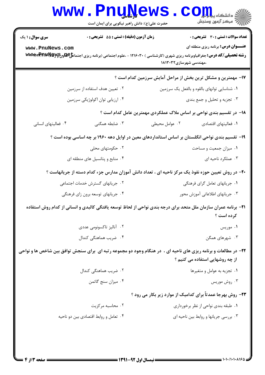|                                                                      | <b>www.PnuNews</b>                                                                                                                        |                                              | الله دانشکاه پیام اوران<br>الله عرکز آزمون وسنجش                    |  |  |
|----------------------------------------------------------------------|-------------------------------------------------------------------------------------------------------------------------------------------|----------------------------------------------|---------------------------------------------------------------------|--|--|
|                                                                      | حضرت علی(ع): دانش راهبر نیکویی برای ایمان است                                                                                             |                                              |                                                                     |  |  |
| <b>سری سوال : ۱ یک</b>                                               | زمان آزمون (دقیقه) : تستی : 55 آتشریحی : 0                                                                                                |                                              | <b>تعداد سوالات : تستی : 30 ٪ تشریحی : 0</b>                        |  |  |
| www.PnuNews.com                                                      | <b>رشته تحصیلی/کد درس:</b> جغرافیاوبرنامه ریزی شهری (کارشناسی ) ۱۲۱۶۰۳۰ - ،علوم اجتماعی (برنامه ریزی اجتما <b>عجاتهاونUPARPRAWEG</b> y می |                                              | <b>عنـــوان درس:</b> برنامه ریزی منطقه ای                           |  |  |
|                                                                      |                                                                                                                                           | ،مهندسی شهرسازی۱۸۱۳۰۳۲                       |                                                                     |  |  |
|                                                                      |                                                                                                                                           |                                              | ۱۷- مهمترین و مشکل ترین بخش از مراحل آمایش سرزمین کدام است ؟        |  |  |
|                                                                      | ۰۲ تعیین هدف استفاده از سرزمین                                                                                                            | ۰۱ شناسایی توانهای بالقوه و بالفعل یک سرزمین |                                                                     |  |  |
| ۰۴ ارزیابی توان اکولوژیکی سرزمین                                     |                                                                                                                                           | ۰۳ تجزیه و تحلیل و جمع بندی                  |                                                                     |  |  |
| 18– در تقسیم بندی نواحی بر اساس ملاک عملکردی مهمترین عامل کدام است ؟ |                                                                                                                                           |                                              |                                                                     |  |  |
| ۰۴ فعالیتهای انسانی                                                  | ۰۳ ضابطه همگنی                                                                                                                            | ۰۲ عوامل محیطی                               | ٠١ فعاليتهاى اقتصادى                                                |  |  |
|                                                                      | ۱۹– تقسیم بندی نواحی انگلستان بر اساس استانداردهای معین در اوایل دهه ۱۹۶۰ بر چه اساسی بوده است ؟                                          |                                              |                                                                     |  |  |
|                                                                      | ۰۲ حکومتهای محلی                                                                                                                          |                                              | ۰۱ میزان جمعیت و مساحت                                              |  |  |
| ۰۴ منابع و پتانسیل های منطقه ای                                      |                                                                                                                                           | ۰۳ عملکرد ناحیه ای                           |                                                                     |  |  |
|                                                                      | +۲- در روش تعیین حوزه نفوذ یک مرکز ناحیه ای ، تعداد دانش آموزان مدارس جزء کدام دسته از جریانهاست ؟                                        |                                              |                                                                     |  |  |
| ۰۲ جریانهای گسترش خدمات اجتماعی                                      |                                                                                                                                           | ۰۱ جریانهای تعامل گرای فرهنگی                |                                                                     |  |  |
|                                                                      | ۰۴ جریانهای توسعه برون زای فرهنگی                                                                                                         |                                              | ۰۳ جریانهای اطلاعاتی آموزش محور                                     |  |  |
|                                                                      | <b>۳۱</b> - برنامه عمران سازمان ملل متحد برای درجه بندی نواحی از لحاظ توسعه یافتگی کالبدی و انسانی از کدام روش استفاده                    |                                              | کرده است ؟                                                          |  |  |
|                                                                      | ۰۲ آنالیز تاکسونومی عددی                                                                                                                  |                                              | ۰۱ موریس                                                            |  |  |
|                                                                      | ۰۴ ضریب هماهنگی کندال                                                                                                                     |                                              | ۰۳ شهرهای همگن                                                      |  |  |
|                                                                      | ۲۲- در مطالعات و برنامه ریزی های ناحیه ای ، در هنگام وجود دو مجموعه رتبه ای برای سنجش توافق بین شاخص ها و نواحی                           |                                              | از چه روشهایی استفاده می کنیم ؟                                     |  |  |
|                                                                      | ۰۲ ضریب هماهنگی کندال                                                                                                                     |                                              | ۰۱ تجزیه به عوامل و متغیرها                                         |  |  |
|                                                                      | ۰۴ میزان سنج گاتمن                                                                                                                        |                                              | ۰۳ روش موريس                                                        |  |  |
|                                                                      |                                                                                                                                           |                                              | <b>۲۳</b> - روش بهرجا عمدتاً برای کدامیک از موارد زیر بکار می رود ؟ |  |  |
|                                                                      | ۰۲ محاسبه مرکزیت                                                                                                                          |                                              | ۰۱ طبقه بندی نواحی از نظر برخورداری                                 |  |  |
|                                                                      | ۰۴ تعامل و روابط اقتصادی بین دو ناحیه                                                                                                     |                                              | ۰۳ بررسی جریانها و روابط بین ناحیه ای                               |  |  |
|                                                                      |                                                                                                                                           |                                              |                                                                     |  |  |